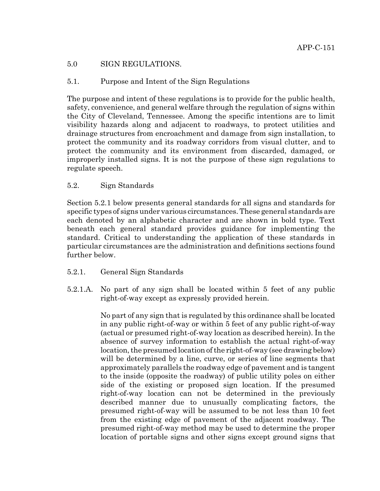# 5.0 SIGN REGULATIONS.

# 5.1. Purpose and Intent of the Sign Regulations

The purpose and intent of these regulations is to provide for the public health, safety, convenience, and general welfare through the regulation of signs within the City of Cleveland, Tennessee. Among the specific intentions are to limit visibility hazards along and adjacent to roadways, to protect utilities and drainage structures from encroachment and damage from sign installation, to protect the community and its roadway corridors from visual clutter, and to protect the community and its environment from discarded, damaged, or improperly installed signs. It is not the purpose of these sign regulations to regulate speech.

# 5.2. Sign Standards

Section 5.2.1 below presents general standards for all signs and standards for specific types of signs under various circumstances. These general standards are each denoted by an alphabetic character and are shown in bold type. Text beneath each general standard provides guidance for implementing the standard. Critical to understanding the application of these standards in particular circumstances are the administration and definitions sections found further below.

- 5.2.1. General Sign Standards
- 5.2.1.A. No part of any sign shall be located within 5 feet of any public right-of-way except as expressly provided herein.

No part of any sign that is regulated by this ordinance shall be located in any public right-of-way or within 5 feet of any public right-of-way (actual or presumed right-of-way location as described herein). In the absence of survey information to establish the actual right-of-way location, the presumed location of the right-of-way (see drawing below) will be determined by a line, curve, or series of line segments that approximately parallels the roadway edge of pavement and is tangent to the inside (opposite the roadway) of public utility poles on either side of the existing or proposed sign location. If the presumed right-of-way location can not be determined in the previously described manner due to unusually complicating factors, the presumed right-of-way will be assumed to be not less than 10 feet from the existing edge of pavement of the adjacent roadway. The presumed right-of-way method may be used to determine the proper location of portable signs and other signs except ground signs that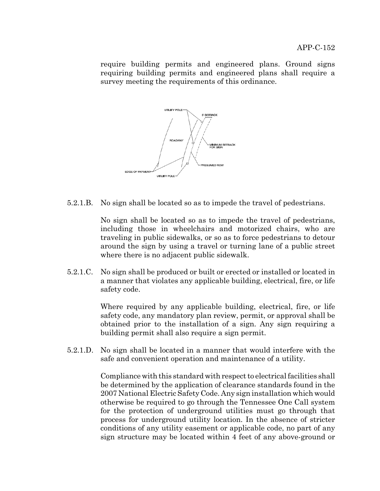require building permits and engineered plans. Ground signs requiring building permits and engineered plans shall require a survey meeting the requirements of this ordinance.



5.2.1.B. No sign shall be located so as to impede the travel of pedestrians.

No sign shall be located so as to impede the travel of pedestrians, including those in wheelchairs and motorized chairs, who are traveling in public sidewalks, or so as to force pedestrians to detour around the sign by using a travel or turning lane of a public street where there is no adjacent public sidewalk.

5.2.1.C. No sign shall be produced or built or erected or installed or located in a manner that violates any applicable building, electrical, fire, or life safety code.

> Where required by any applicable building, electrical, fire, or life safety code, any mandatory plan review, permit, or approval shall be obtained prior to the installation of a sign. Any sign requiring a building permit shall also require a sign permit.

5.2.1.D. No sign shall be located in a manner that would interfere with the safe and convenient operation and maintenance of a utility.

> Compliance with this standard with respect to electrical facilities shall be determined by the application of clearance standards found in the 2007 National Electric Safety Code. Any sign installation which would otherwise be required to go through the Tennessee One Call system for the protection of underground utilities must go through that process for underground utility location. In the absence of stricter conditions of any utility easement or applicable code, no part of any sign structure may be located within 4 feet of any above-ground or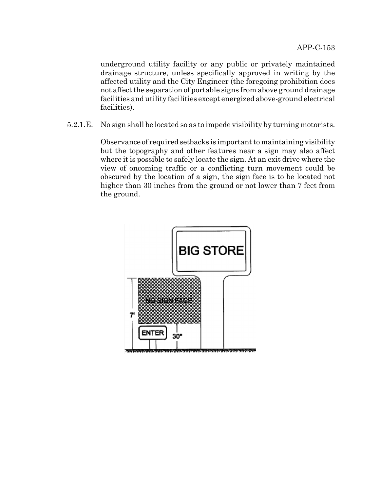underground utility facility or any public or privately maintained drainage structure, unless specifically approved in writing by the affected utility and the City Engineer (the foregoing prohibition does not affect the separation of portable signs from above ground drainage facilities and utility facilities except energized above-ground electrical facilities).

5.2.1.E. No sign shall be located so as to impede visibility by turning motorists.

Observance of required setbacks is important to maintaining visibility but the topography and other features near a sign may also affect where it is possible to safely locate the sign. At an exit drive where the view of oncoming traffic or a conflicting turn movement could be obscured by the location of a sign, the sign face is to be located not higher than 30 inches from the ground or not lower than 7 feet from the ground.

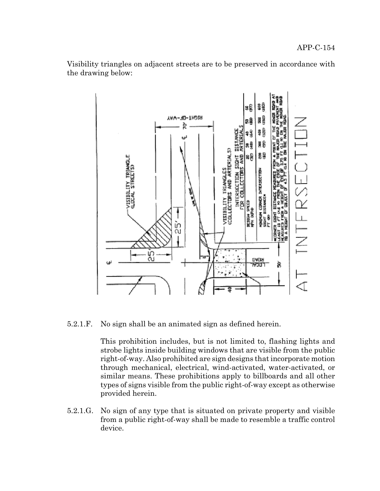Visibility triangles on adjacent streets are to be preserved in accordance with the drawing below:



5.2.1.F. No sign shall be an animated sign as defined herein.

This prohibition includes, but is not limited to, flashing lights and strobe lights inside building windows that are visible from the public right-of-way. Also prohibited are sign designs that incorporate motion through mechanical, electrical, wind-activated, water-activated, or similar means. These prohibitions apply to billboards and all other types of signs visible from the public right-of-way except as otherwise provided herein.

5.2.1.G. No sign of any type that is situated on private property and visible from a public right-of-way shall be made to resemble a traffic control device.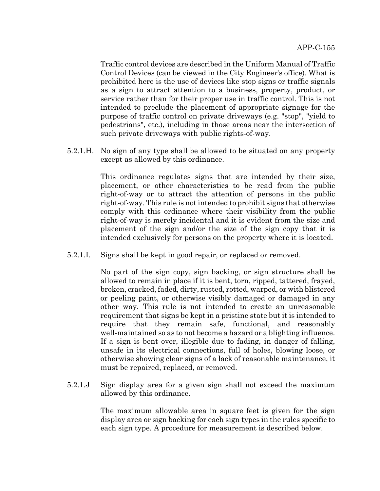Traffic control devices are described in the Uniform Manual of Traffic Control Devices (can be viewed in the City Engineer's office). What is prohibited here is the use of devices like stop signs or traffic signals as a sign to attract attention to a business, property, product, or service rather than for their proper use in traffic control. This is not intended to preclude the placement of appropriate signage for the purpose of traffic control on private driveways (e.g. "stop", "yield to pedestrians", etc.), including in those areas near the intersection of such private driveways with public rights-of-way.

5.2.1.H. No sign of any type shall be allowed to be situated on any property except as allowed by this ordinance.

> This ordinance regulates signs that are intended by their size, placement, or other characteristics to be read from the public right-of-way or to attract the attention of persons in the public right-of-way. This rule is not intended to prohibit signs that otherwise comply with this ordinance where their visibility from the public right-of-way is merely incidental and it is evident from the size and placement of the sign and/or the size of the sign copy that it is intended exclusively for persons on the property where it is located.

5.2.1.I. Signs shall be kept in good repair, or replaced or removed.

No part of the sign copy, sign backing, or sign structure shall be allowed to remain in place if it is bent, torn, ripped, tattered, frayed, broken, cracked, faded, dirty, rusted, rotted, warped, or with blistered or peeling paint, or otherwise visibly damaged or damaged in any other way. This rule is not intended to create an unreasonable requirement that signs be kept in a pristine state but it is intended to require that they remain safe, functional, and reasonably well-maintained so as to not become a hazard or a blighting influence. If a sign is bent over, illegible due to fading, in danger of falling, unsafe in its electrical connections, full of holes, blowing loose, or otherwise showing clear signs of a lack of reasonable maintenance, it must be repaired, replaced, or removed.

5.2.1.J Sign display area for a given sign shall not exceed the maximum allowed by this ordinance.

> The maximum allowable area in square feet is given for the sign display area or sign backing for each sign types in the rules specific to each sign type. A procedure for measurement is described below.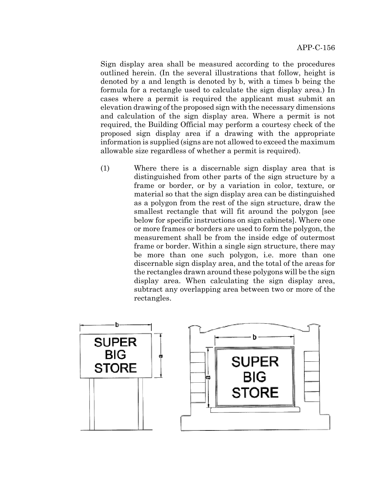Sign display area shall be measured according to the procedures outlined herein. (In the several illustrations that follow, height is denoted by a and length is denoted by b, with a times b being the formula for a rectangle used to calculate the sign display area.) In cases where a permit is required the applicant must submit an elevation drawing of the proposed sign with the necessary dimensions and calculation of the sign display area. Where a permit is not required, the Building Official may perform a courtesy check of the proposed sign display area if a drawing with the appropriate information is supplied (signs are not allowed to exceed the maximum allowable size regardless of whether a permit is required).

(1) Where there is a discernable sign display area that is distinguished from other parts of the sign structure by a frame or border, or by a variation in color, texture, or material so that the sign display area can be distinguished as a polygon from the rest of the sign structure, draw the smallest rectangle that will fit around the polygon [see below for specific instructions on sign cabinets]. Where one or more frames or borders are used to form the polygon, the measurement shall be from the inside edge of outermost frame or border. Within a single sign structure, there may be more than one such polygon, i.e. more than one discernable sign display area, and the total of the areas for the rectangles drawn around these polygons will be the sign display area. When calculating the sign display area, subtract any overlapping area between two or more of the rectangles.

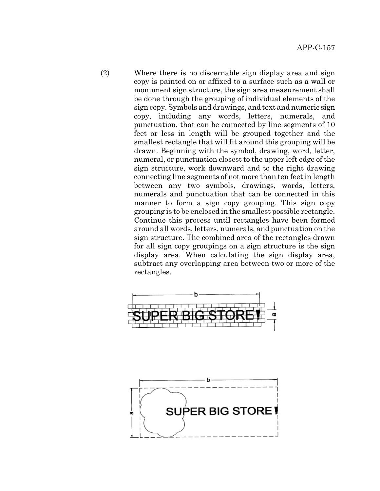(2) Where there is no discernable sign display area and sign copy is painted on or affixed to a surface such as a wall or monument sign structure, the sign area measurement shall be done through the grouping of individual elements of the sign copy. Symbols and drawings, and text and numeric sign copy, including any words, letters, numerals, and punctuation, that can be connected by line segments of 10 feet or less in length will be grouped together and the smallest rectangle that will fit around this grouping will be drawn. Beginning with the symbol, drawing, word, letter, numeral, or punctuation closest to the upper left edge of the sign structure, work downward and to the right drawing connecting line segments of not more than ten feet in length between any two symbols, drawings, words, letters, numerals and punctuation that can be connected in this manner to form a sign copy grouping. This sign copy grouping is to be enclosed in the smallest possible rectangle. Continue this process until rectangles have been formed around all words, letters, numerals, and punctuation on the sign structure. The combined area of the rectangles drawn for all sign copy groupings on a sign structure is the sign display area. When calculating the sign display area, subtract any overlapping area between two or more of the rectangles.



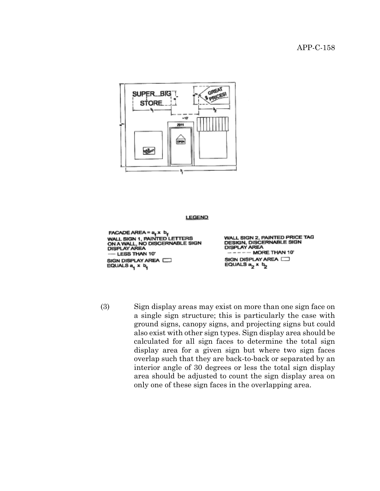

#### **LEGEND**

FACADE AREA =  $a_f \times b_f$ <br>WALL SIGN 1, PAINTED LETTERS ON A WALL, NO DISCERNABLE SIGN<br>DISPLAY AREA - LESS THAN 10" SIGN DISPLAY AREA EQUALS  $a_1 \times b_1$ 

WALL SIGN 2, PAINTED PRICE TAG DESIGN, DISCERNABLE SIGN<br>DISPLAY AREA MORE THAN 10° SIGN DISPLAY AREA EQUALS  $a_2 \times b_2$ 

(3) Sign display areas may exist on more than one sign face on a single sign structure; this is particularly the case with ground signs, canopy signs, and projecting signs but could also exist with other sign types. Sign display area should be calculated for all sign faces to determine the total sign display area for a given sign but where two sign faces overlap such that they are back-to-back or separated by an interior angle of 30 degrees or less the total sign display area should be adjusted to count the sign display area on only one of these sign faces in the overlapping area.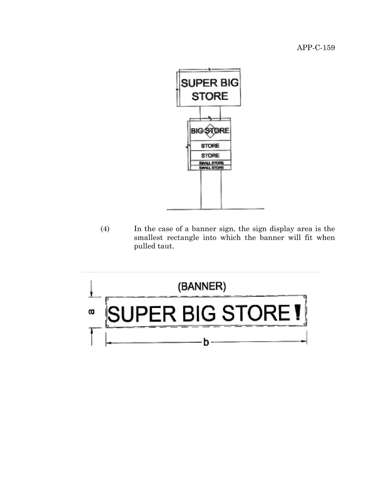

(4) In the case of a banner sign, the sign display area is the smallest rectangle into which the banner will fit when pulled taut.

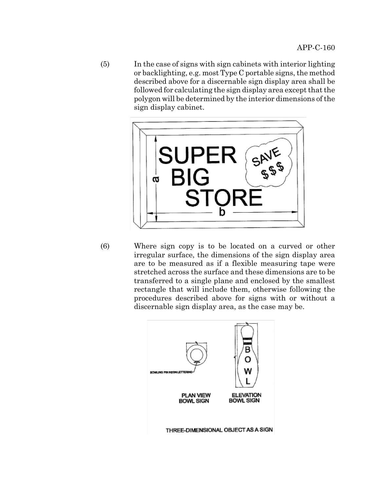(5) In the case of signs with sign cabinets with interior lighting or backlighting, e.g. most Type C portable signs, the method described above for a discernable sign display area shall be followed for calculating the sign display area except that the polygon will be determined by the interior dimensions of the sign display cabinet.



(6) Where sign copy is to be located on a curved or other irregular surface, the dimensions of the sign display area are to be measured as if a flexible measuring tape were stretched across the surface and these dimensions are to be transferred to a single plane and enclosed by the smallest rectangle that will include them, otherwise following the procedures described above for signs with or without a discernable sign display area, as the case may be.

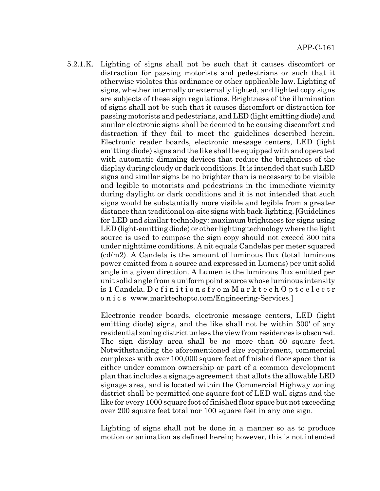5.2.1.K. Lighting of signs shall not be such that it causes discomfort or distraction for passing motorists and pedestrians or such that it otherwise violates this ordinance or other applicable law. Lighting of signs, whether internally or externally lighted, and lighted copy signs are subjects of these sign regulations. Brightness of the illumination of signs shall not be such that it causes discomfort or distraction for passing motorists and pedestrians, and LED (light emitting diode) and similar electronic signs shall be deemed to be causing discomfort and distraction if they fail to meet the guidelines described herein. Electronic reader boards, electronic message centers, LED (light emitting diode) signs and the like shall be equipped with and operated with automatic dimming devices that reduce the brightness of the display during cloudy or dark conditions. It is intended that such LED signs and similar signs be no brighter than is necessary to be visible and legible to motorists and pedestrians in the immediate vicinity during daylight or dark conditions and it is not intended that such signs would be substantially more visible and legible from a greater distance than traditional on-site signs with back-lighting. [Guidelines for LED and similar technology: maximum brightness for signs using LED (light-emitting diode) or other lighting technology where the light source is used to compose the sign copy should not exceed 300 nits under nighttime conditions. A nit equals Candelas per meter squared (cd/m2). A Candela is the amount of luminous flux (total luminous power emitted from a source and expressed in Lumens) per unit solid angle in a given direction. A Lumen is the luminous flux emitted per unit solid angle from a uniform point source whose luminous intensity is 1 Candela. D e f i n i t i o n s f r o m M a r k t e c h O p t o e l e c t r o n i c s www.marktechopto.com/Engineering-Services.]

> Electronic reader boards, electronic message centers, LED (light emitting diode) signs, and the like shall not be within 300' of any residential zoning district unless the view from residences is obscured. The sign display area shall be no more than 50 square feet. Notwithstanding the aforementioned size requirement, commercial complexes with over 100,000 square feet of finished floor space that is either under common ownership or part of a common development plan that includes a signage agreement that allots the allowable LED signage area, and is located within the Commercial Highway zoning district shall be permitted one square foot of LED wall signs and the like for every 1000 square foot of finished floor space but not exceeding over 200 square feet total nor 100 square feet in any one sign.

> Lighting of signs shall not be done in a manner so as to produce motion or animation as defined herein; however, this is not intended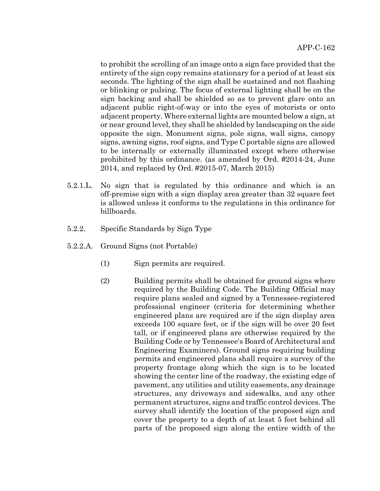to prohibit the scrolling of an image onto a sign face provided that the entirety of the sign copy remains stationary for a period of at least six seconds. The lighting of the sign shall be sustained and not flashing or blinking or pulsing. The focus of external lighting shall be on the sign backing and shall be shielded so as to prevent glare onto an adjacent public right-of-way or into the eyes of motorists or onto adjacent property. Where external lights are mounted below a sign, at or near ground level, they shall be shielded by landscaping on the side opposite the sign. Monument signs, pole signs, wall signs, canopy signs, awning signs, roof signs, and Type C portable signs are allowed to be internally or externally illuminated except where otherwise prohibited by this ordinance. (as amended by Ord. #2014-24, June 2014, and replaced by Ord. #2015-07, March 2015)

- 5.2.1.L. No sign that is regulated by this ordinance and which is an off-premise sign with a sign display area greater than 32 square feet is allowed unless it conforms to the regulations in this ordinance for billboards.
- 5.2.2. Specific Standards by Sign Type
- 5.2.2.A. Ground Signs (not Portable)
	- (1) Sign permits are required.
	- (2) Building permits shall be obtained for ground signs where required by the Building Code. The Building Official may require plans sealed and signed by a Tennessee-registered professional engineer (criteria for determining whether engineered plans are required are if the sign display area exceeds 100 square feet, or if the sign will be over 20 feet tall, or if engineered plans are otherwise required by the Building Code or by Tennessee's Board of Architectural and Engineering Examiners). Ground signs requiring building permits and engineered plans shall require a survey of the property frontage along which the sign is to be located showing the center line of the roadway, the existing edge of pavement, any utilities and utility easements, any drainage structures, any driveways and sidewalks, and any other permanent structures, signs and traffic control devices. The survey shall identify the location of the proposed sign and cover the property to a depth of at least 5 feet behind all parts of the proposed sign along the entire width of the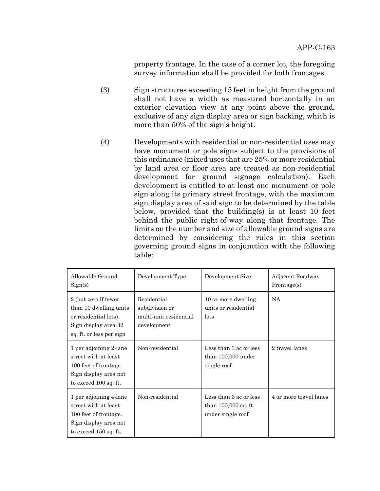property frontage. In the case of a corner lot, the foregoing survey information shall be provided for both frontages.

- (3) Sign structures exceeding 15 feet in height from the ground shall not have a width as measured horizontally in an exterior elevation view at any point above the ground, exclusive of any sign display area or sign backing, which is more than 50% of the sign's height.
- (4) Developments with residential or non-residential uses may have monument or pole signs subject to the provisions of this ordinance (mixed uses that are 25% or more residential by land area or floor area are treated as non-residential development for ground signage calculation). Each development is entitled to at least one monument or pole sign along its primary street frontage, with the maximum sign display area of said sign to be determined by the table below, provided that the building(s) is at least 10 feet behind the public right-of-way along that frontage. The limits on the number and size of allowable ground signs are determined by considering the rules in this section governing ground signs in conjunction with the following table:

| Allowable Ground<br>Sign(s)                                                                                                 | Development Type                                                       | Development Size                                                      | Adjacent Roadway<br>Frontage(s) |
|-----------------------------------------------------------------------------------------------------------------------------|------------------------------------------------------------------------|-----------------------------------------------------------------------|---------------------------------|
| 2 (but zero if fewer<br>than 10 dwelling units<br>or residential lots).<br>Sign display area 32<br>sq. ft. or less per sign | Residential<br>subdivision or<br>multi-unit residential<br>development | 10 or more dwelling<br>units or residential<br>lots                   | <b>NA</b>                       |
| 1 per adjoining 2-lane<br>street with at least<br>100 feet of frontage.<br>Sign display area not<br>to exceed 100 sq. ft.   | Non-residential                                                        | Less than 3 ac or less<br>than 100,000 under<br>single roof           | 2 travel lanes                  |
| 1 per adjoining 4-lane<br>street with at least<br>100 feet of frontage.<br>Sign display area not<br>to exceed $150$ sq. ft. | Non-residential                                                        | Less than 3 ac or less<br>than $100,000$ sq. ft.<br>under single roof | 4 or more travel lanes          |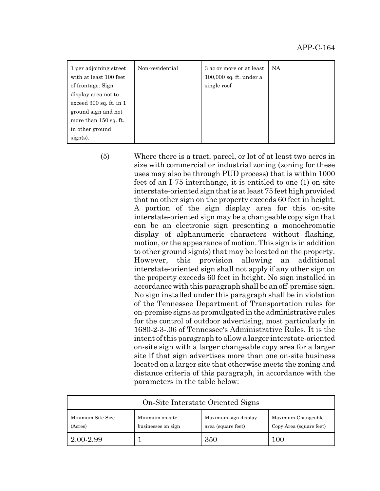| 1 per adjoining street<br>with at least 100 feet<br>of frontage. Sign<br>display area not to<br>exceed $300$ sq. ft. in 1<br>ground sign and not<br>more than 150 sq. ft.<br>in other ground | Non-residential | 3 ac or more or at least<br>100,000 sq. ft. under a<br>single roof | <b>NA</b> |
|----------------------------------------------------------------------------------------------------------------------------------------------------------------------------------------------|-----------------|--------------------------------------------------------------------|-----------|
| $sign(s)$ .                                                                                                                                                                                  |                 |                                                                    |           |

(5) Where there is a tract, parcel, or lot of at least two acres in size with commercial or industrial zoning (zoning for these uses may also be through PUD process) that is within 1000 feet of an I-75 interchange, it is entitled to one (1) on-site interstate-oriented sign that is at least 75 feet high provided that no other sign on the property exceeds 60 feet in height. A portion of the sign display area for this on-site interstate-oriented sign may be a changeable copy sign that can be an electronic sign presenting a monochromatic display of alphanumeric characters without flashing, motion, or the appearance of motion. This sign is in addition to other ground sign(s) that may be located on the property. However, this provision allowing an additional interstate-oriented sign shall not apply if any other sign on the property exceeds 60 feet in height. No sign installed in accordance with this paragraph shall be an off-premise sign. No sign installed under this paragraph shall be in violation of the Tennessee Department of Transportation rules for on-premise signs as promulgated in the administrative rules for the control of outdoor advertising, most particularly in 1680-2-3-.06 of Tennessee's Administrative Rules. It is the intent of this paragraph to allow a larger interstate-oriented on-site sign with a larger changeable copy area for a larger site if that sign advertises more than one on-site business located on a larger site that otherwise meets the zoning and distance criteria of this paragraph, in accordance with the parameters in the table below:

| On-Site Interstate Oriented Signs |                                       |                                            |                                               |
|-----------------------------------|---------------------------------------|--------------------------------------------|-----------------------------------------------|
| Minimum Site Size<br>(Acres)      | Minimum on-site<br>businesses on sign | Maximum sign display<br>area (square feet) | Maximum Changeable<br>Copy Area (square feet) |
| 2.00-2.99                         |                                       | 350                                        | 100                                           |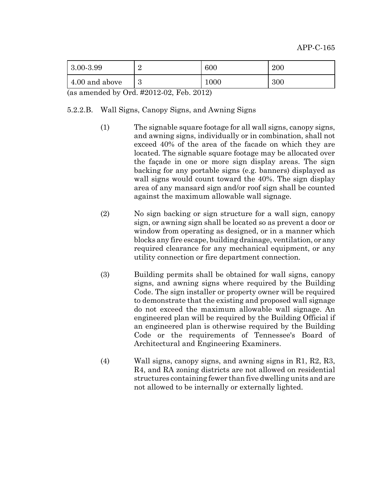| $ 3.00 - 3.99 $ | ↵      | 600      | 200 |
|-----------------|--------|----------|-----|
| 4.00 and above  | 2<br>ಲ | $1000\,$ | 300 |

(as amended by Ord. #2012-02, Feb. 2012)

## 5.2.2.B. Wall Signs, Canopy Signs, and Awning Signs

- (1) The signable square footage for all wall signs, canopy signs, and awning signs, individually or in combination, shall not exceed 40% of the area of the facade on which they are located. The signable square footage may be allocated over the façade in one or more sign display areas. The sign backing for any portable signs (e.g. banners) displayed as wall signs would count toward the 40%. The sign display area of any mansard sign and/or roof sign shall be counted against the maximum allowable wall signage.
- (2) No sign backing or sign structure for a wall sign, canopy sign, or awning sign shall be located so as prevent a door or window from operating as designed, or in a manner which blocks any fire escape, building drainage, ventilation, or any required clearance for any mechanical equipment, or any utility connection or fire department connection.
- (3) Building permits shall be obtained for wall signs, canopy signs, and awning signs where required by the Building Code. The sign installer or property owner will be required to demonstrate that the existing and proposed wall signage do not exceed the maximum allowable wall signage. An engineered plan will be required by the Building Official if an engineered plan is otherwise required by the Building Code or the requirements of Tennessee's Board of Architectural and Engineering Examiners.
- (4) Wall signs, canopy signs, and awning signs in R1, R2, R3, R4, and RA zoning districts are not allowed on residential structures containing fewer than five dwelling units and are not allowed to be internally or externally lighted.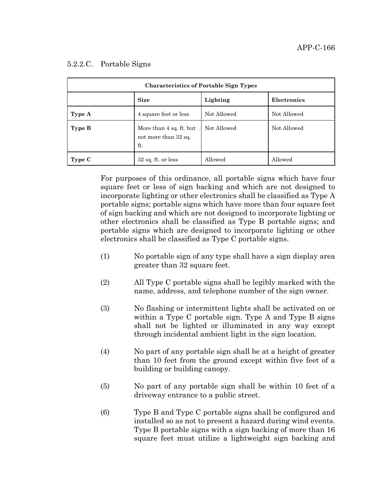| <b>Characteristics of Portable Sign Types</b> |                                                        |             |             |
|-----------------------------------------------|--------------------------------------------------------|-------------|-------------|
|                                               | <b>Size</b>                                            | Lighting    | Electronics |
| Type A                                        | 4 square feet or less                                  | Not Allowed | Not Allowed |
| Type B                                        | More than 4 sq. ft. but<br>not more than 32 sq.<br>ft. | Not Allowed | Not Allowed |
| Type C                                        | $32$ sq. ft. or less                                   | Allowed     | Allowed     |

## 5.2.2.C. Portable Signs

For purposes of this ordinance, all portable signs which have four square feet or less of sign backing and which are not designed to incorporate lighting or other electronics shall be classified as Type A portable signs; portable signs which have more than four square feet of sign backing and which are not designed to incorporate lighting or other electronics shall be classified as Type B portable signs; and portable signs which are designed to incorporate lighting or other electronics shall be classified as Type C portable signs.

- (1) No portable sign of any type shall have a sign display area greater than 32 square feet.
- (2) All Type C portable signs shall be legibly marked with the name, address, and telephone number of the sign owner.
- (3) No flashing or intermittent lights shall be activated on or within a Type C portable sign. Type A and Type B signs shall not be lighted or illuminated in any way except through incidental ambient light in the sign location.
- (4) No part of any portable sign shall be at a height of greater than 10 feet from the ground except within five feet of a building or building canopy.
- (5) No part of any portable sign shall be within 10 feet of a driveway entrance to a public street.
- (6) Type B and Type C portable signs shall be configured and installed so as not to present a hazard during wind events. Type B portable signs with a sign backing of more than 16 square feet must utilize a lightweight sign backing and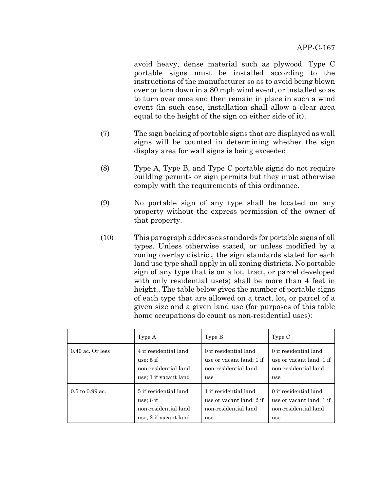avoid heavy, dense material such as plywood. Type C portable signs must be installed according to the instructions of the manufacturer so as to avoid being blown over or torn down in a 80 mph wind event, or installed so as to turn over once and then remain in place in such a wind event (in such case, installation shall allow a clear area equal to the height of the sign on either side of it).

- (7) The sign backing of portable signs that are displayed as wall signs will be counted in determining whether the sign display area for wall signs is being exceeded.
- (8) Type A, Type B, and Type C portable signs do not require building permits or sign permits but they must otherwise comply with the requirements of this ordinance.
- (9) No portable sign of any type shall be located on any property without the express permission of the owner of that property.
- (10) This paragraph addresses standards for portable signs of all types. Unless otherwise stated, or unless modified by a zoning overlay district, the sign standards stated for each land use type shall apply in all zoning districts. No portable sign of any type that is on a lot, tract, or parcel developed with only residential use(s) shall be more than 4 feet in height.. The table below gives the number of portable signs of each type that are allowed on a tract, lot, or parcel of a given size and a given land use (for purposes of this table home occupations do count as non-residential uses):

|                                    | Type A                | Type B                   | Type C                   |
|------------------------------------|-----------------------|--------------------------|--------------------------|
| $0.49$ ac. Or less                 | 4 if residential land | 0 if residential land    | 0 if residential land    |
|                                    | use: $5$ if           | use or vacant land; 1 if | use or vacant land; 1 if |
|                                    | non-residential land  | non-residential land     | non-residential land     |
|                                    | use; 1 if vacant land | use                      | use                      |
| $0.5 \text{ to } 0.99 \text{ ac}.$ | 5 if residential land | 1 if residential land    | 0 if residential land    |
|                                    | use; $6$ if           | use or vacant land; 2 if | use or vacant land; 1 if |
|                                    | non-residential land  | non-residential land     | non-residential land     |
|                                    | use; 2 if vacant land | use                      | use                      |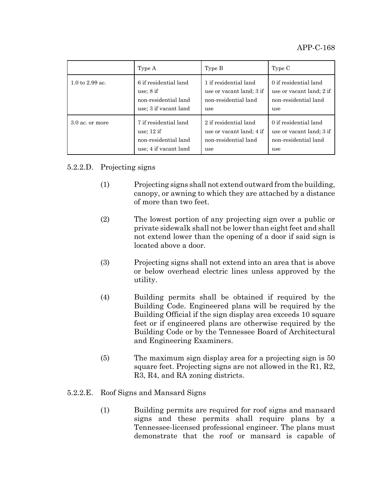|                                    | Type A                | Type B                   | Type C                   |
|------------------------------------|-----------------------|--------------------------|--------------------------|
| $1.0 \text{ to } 2.99 \text{ ac}.$ | 6 if residential land | 1 if residential land    | 0 if residential land    |
|                                    | use; $8$ if           | use or vacant land; 3 if | use or vacant land; 2 if |
|                                    | non-residential land  | non-residential land     | non-residential land     |
|                                    | use; 3 if vacant land | use                      | use                      |
| $3.0$ ac. or more                  | 7 if residential land | 2 if residential land    | 0 if residential land    |
|                                    | use: $12$ if          | use or vacant land; 4 if | use or vacant land; 3 if |
|                                    | non-residential land  | non-residential land     | non-residential land     |
|                                    | use; 4 if vacant land | use                      | use                      |

# 5.2.2.D. Projecting signs

- (1) Projecting signs shall not extend outward from the building, canopy, or awning to which they are attached by a distance of more than two feet.
- (2) The lowest portion of any projecting sign over a public or private sidewalk shall not be lower than eight feet and shall not extend lower than the opening of a door if said sign is located above a door.
- (3) Projecting signs shall not extend into an area that is above or below overhead electric lines unless approved by the utility.
- (4) Building permits shall be obtained if required by the Building Code. Engineered plans will be required by the Building Official if the sign display area exceeds 10 square feet or if engineered plans are otherwise required by the Building Code or by the Tennessee Board of Architectural and Engineering Examiners.
- (5) The maximum sign display area for a projecting sign is 50 square feet. Projecting signs are not allowed in the R1, R2, R3, R4, and RA zoning districts.

# 5.2.2.E. Roof Signs and Mansard Signs

(1) Building permits are required for roof signs and mansard signs and these permits shall require plans by a Tennessee-licensed professional engineer. The plans must demonstrate that the roof or mansard is capable of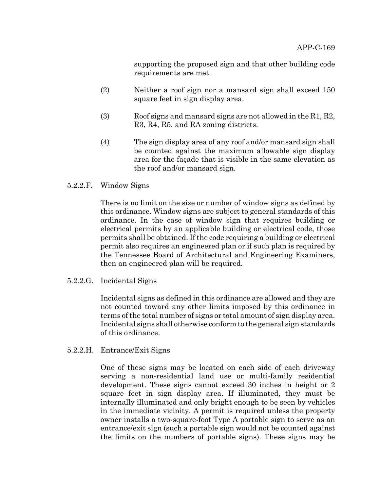supporting the proposed sign and that other building code requirements are met.

- (2) Neither a roof sign nor a mansard sign shall exceed 150 square feet in sign display area.
- (3) Roof signs and mansard signs are not allowed in the R1, R2, R3, R4, R5, and RA zoning districts.
- (4) The sign display area of any roof and/or mansard sign shall be counted against the maximum allowable sign display area for the façade that is visible in the same elevation as the roof and/or mansard sign.
- 5.2.2.F. Window Signs

There is no limit on the size or number of window signs as defined by this ordinance. Window signs are subject to general standards of this ordinance. In the case of window sign that requires building or electrical permits by an applicable building or electrical code, those permits shall be obtained. If the code requiring a building or electrical permit also requires an engineered plan or if such plan is required by the Tennessee Board of Architectural and Engineering Examiners, then an engineered plan will be required.

## 5.2.2.G. Incidental Signs

Incidental signs as defined in this ordinance are allowed and they are not counted toward any other limits imposed by this ordinance in terms of the total number of signs or total amount of sign display area. Incidental signs shall otherwise conform to the general sign standards of this ordinance.

## 5.2.2.H. Entrance/Exit Signs

One of these signs may be located on each side of each driveway serving a non-residential land use or multi-family residential development. These signs cannot exceed 30 inches in height or 2 square feet in sign display area. If illuminated, they must be internally illuminated and only bright enough to be seen by vehicles in the immediate vicinity. A permit is required unless the property owner installs a two-square-foot Type A portable sign to serve as an entrance/exit sign (such a portable sign would not be counted against the limits on the numbers of portable signs). These signs may be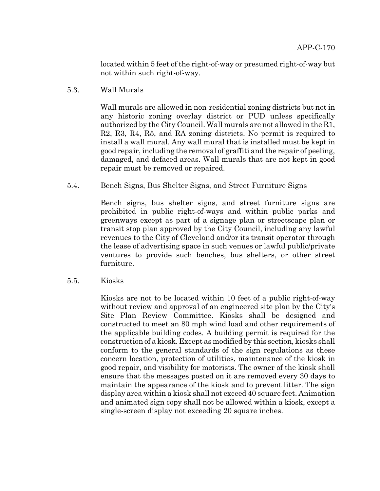located within 5 feet of the right-of-way or presumed right-of-way but not within such right-of-way.

5.3. Wall Murals

Wall murals are allowed in non-residential zoning districts but not in any historic zoning overlay district or PUD unless specifically authorized by the City Council. Wall murals are not allowed in the R1, R2, R3, R4, R5, and RA zoning districts. No permit is required to install a wall mural. Any wall mural that is installed must be kept in good repair, including the removal of graffiti and the repair of peeling, damaged, and defaced areas. Wall murals that are not kept in good repair must be removed or repaired.

5.4. Bench Signs, Bus Shelter Signs, and Street Furniture Signs

Bench signs, bus shelter signs, and street furniture signs are prohibited in public right-of-ways and within public parks and greenways except as part of a signage plan or streetscape plan or transit stop plan approved by the City Council, including any lawful revenues to the City of Cleveland and/or its transit operator through the lease of advertising space in such venues or lawful public/private ventures to provide such benches, bus shelters, or other street furniture.

5.5. Kiosks

Kiosks are not to be located within 10 feet of a public right-of-way without review and approval of an engineered site plan by the City's Site Plan Review Committee. Kiosks shall be designed and constructed to meet an 80 mph wind load and other requirements of the applicable building codes. A building permit is required for the construction of a kiosk. Except as modified by this section, kiosks shall conform to the general standards of the sign regulations as these concern location, protection of utilities, maintenance of the kiosk in good repair, and visibility for motorists. The owner of the kiosk shall ensure that the messages posted on it are removed every 30 days to maintain the appearance of the kiosk and to prevent litter. The sign display area within a kiosk shall not exceed 40 square feet. Animation and animated sign copy shall not be allowed within a kiosk, except a single-screen display not exceeding 20 square inches.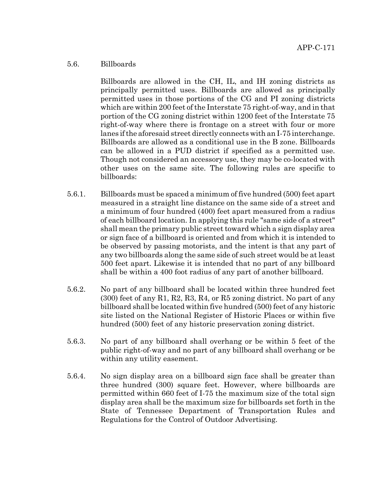# 5.6. Billboards

Billboards are allowed in the CH, IL, and IH zoning districts as principally permitted uses. Billboards are allowed as principally permitted uses in those portions of the CG and PI zoning districts which are within 200 feet of the Interstate 75 right-of-way, and in that portion of the CG zoning district within 1200 feet of the Interstate 75 right-of-way where there is frontage on a street with four or more lanes if the aforesaid street directly connects with an I-75 interchange. Billboards are allowed as a conditional use in the B zone. Billboards can be allowed in a PUD district if specified as a permitted use. Though not considered an accessory use, they may be co-located with other uses on the same site. The following rules are specific to billboards:

- 5.6.1. Billboards must be spaced a minimum of five hundred (500) feet apart measured in a straight line distance on the same side of a street and a minimum of four hundred (400) feet apart measured from a radius of each billboard location. In applying this rule "same side of a street" shall mean the primary public street toward which a sign display area or sign face of a billboard is oriented and from which it is intended to be observed by passing motorists, and the intent is that any part of any two billboards along the same side of such street would be at least 500 feet apart. Likewise it is intended that no part of any billboard shall be within a 400 foot radius of any part of another billboard.
- 5.6.2. No part of any billboard shall be located within three hundred feet (300) feet of any R1, R2, R3, R4, or R5 zoning district. No part of any billboard shall be located within five hundred (500) feet of any historic site listed on the National Register of Historic Places or within five hundred (500) feet of any historic preservation zoning district.
- 5.6.3. No part of any billboard shall overhang or be within 5 feet of the public right-of-way and no part of any billboard shall overhang or be within any utility easement.
- 5.6.4. No sign display area on a billboard sign face shall be greater than three hundred (300) square feet. However, where billboards are permitted within 660 feet of I-75 the maximum size of the total sign display area shall be the maximum size for billboards set forth in the State of Tennessee Department of Transportation Rules and Regulations for the Control of Outdoor Advertising.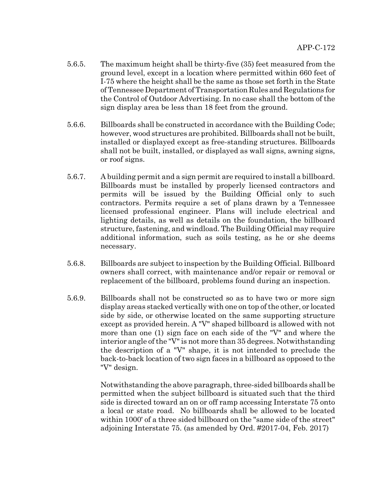- 5.6.5. The maximum height shall be thirty-five (35) feet measured from the ground level, except in a location where permitted within 660 feet of I-75 where the height shall be the same as those set forth in the State of Tennessee Department of Transportation Rules and Regulations for the Control of Outdoor Advertising. In no case shall the bottom of the sign display area be less than 18 feet from the ground.
- 5.6.6. Billboards shall be constructed in accordance with the Building Code; however, wood structures are prohibited. Billboards shall not be built, installed or displayed except as free-standing structures. Billboards shall not be built, installed, or displayed as wall signs, awning signs, or roof signs.
- 5.6.7. A building permit and a sign permit are required to install a billboard. Billboards must be installed by properly licensed contractors and permits will be issued by the Building Official only to such contractors. Permits require a set of plans drawn by a Tennessee licensed professional engineer. Plans will include electrical and lighting details, as well as details on the foundation, the billboard structure, fastening, and windload. The Building Official may require additional information, such as soils testing, as he or she deems necessary.
- 5.6.8. Billboards are subject to inspection by the Building Official. Billboard owners shall correct, with maintenance and/or repair or removal or replacement of the billboard, problems found during an inspection.
- 5.6.9. Billboards shall not be constructed so as to have two or more sign display areas stacked vertically with one on top of the other, or located side by side, or otherwise located on the same supporting structure except as provided herein. A "V" shaped billboard is allowed with not more than one (1) sign face on each side of the "V" and where the interior angle of the "V" is not more than 35 degrees. Notwithstanding the description of a "V" shape, it is not intended to preclude the back-to-back location of two sign faces in a billboard as opposed to the "V" design.

Notwithstanding the above paragraph, three-sided billboards shall be permitted when the subject billboard is situated such that the third side is directed toward an on or off ramp accessing Interstate 75 onto a local or state road. No billboards shall be allowed to be located within 1000' of a three sided billboard on the "same side of the street" adjoining Interstate 75. (as amended by Ord. #2017-04, Feb. 2017)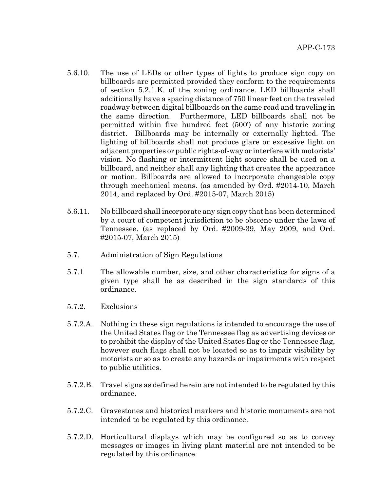- 5.6.10. The use of LEDs or other types of lights to produce sign copy on billboards are permitted provided they conform to the requirements of section 5.2.1.K. of the zoning ordinance. LED billboards shall additionally have a spacing distance of 750 linear feet on the traveled roadway between digital billboards on the same road and traveling in the same direction. Furthermore, LED billboards shall not be permitted within five hundred feet (500') of any historic zoning district. Billboards may be internally or externally lighted. The lighting of billboards shall not produce glare or excessive light on adjacent properties or public rights-of-way or interfere with motorists' vision. No flashing or intermittent light source shall be used on a billboard, and neither shall any lighting that creates the appearance or motion. Billboards are allowed to incorporate changeable copy through mechanical means. (as amended by Ord. #2014-10, March 2014, and replaced by Ord. #2015-07, March 2015)
- 5.6.11. No billboard shall incorporate any sign copy that has been determined by a court of competent jurisdiction to be obscene under the laws of Tennessee. (as replaced by Ord. #2009-39, May 2009, and Ord. #2015-07, March 2015)
- 5.7. Administration of Sign Regulations
- 5.7.1 The allowable number, size, and other characteristics for signs of a given type shall be as described in the sign standards of this ordinance.
- 5.7.2. Exclusions
- 5.7.2.A. Nothing in these sign regulations is intended to encourage the use of the United States flag or the Tennessee flag as advertising devices or to prohibit the display of the United States flag or the Tennessee flag, however such flags shall not be located so as to impair visibility by motorists or so as to create any hazards or impairments with respect to public utilities.
- 5.7.2.B. Travel signs as defined herein are not intended to be regulated by this ordinance.
- 5.7.2.C. Gravestones and historical markers and historic monuments are not intended to be regulated by this ordinance.
- 5.7.2.D. Horticultural displays which may be configured so as to convey messages or images in living plant material are not intended to be regulated by this ordinance.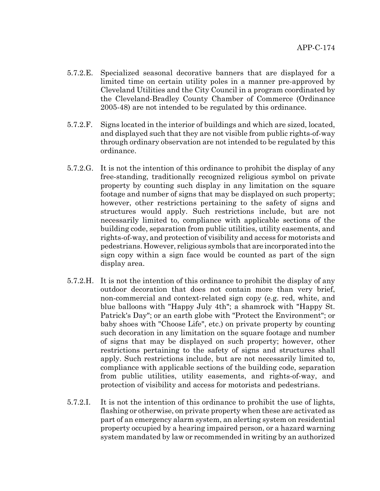- 5.7.2.E. Specialized seasonal decorative banners that are displayed for a limited time on certain utility poles in a manner pre-approved by Cleveland Utilities and the City Council in a program coordinated by the Cleveland-Bradley County Chamber of Commerce (Ordinance 2005-48) are not intended to be regulated by this ordinance.
- 5.7.2.F. Signs located in the interior of buildings and which are sized, located, and displayed such that they are not visible from public rights-of-way through ordinary observation are not intended to be regulated by this ordinance.
- 5.7.2.G. It is not the intention of this ordinance to prohibit the display of any free-standing, traditionally recognized religious symbol on private property by counting such display in any limitation on the square footage and number of signs that may be displayed on such property; however, other restrictions pertaining to the safety of signs and structures would apply. Such restrictions include, but are not necessarily limited to, compliance with applicable sections of the building code, separation from public utilities, utility easements, and rights-of-way, and protection of visibility and access for motorists and pedestrians. However, religious symbols that are incorporated into the sign copy within a sign face would be counted as part of the sign display area.
- 5.7.2.H. It is not the intention of this ordinance to prohibit the display of any outdoor decoration that does not contain more than very brief, non-commercial and context-related sign copy (e.g. red, white, and blue balloons with "Happy July 4th"; a shamrock with "Happy St. Patrick's Day"; or an earth globe with "Protect the Environment"; or baby shoes with "Choose Life", etc.) on private property by counting such decoration in any limitation on the square footage and number of signs that may be displayed on such property; however, other restrictions pertaining to the safety of signs and structures shall apply. Such restrictions include, but are not necessarily limited to, compliance with applicable sections of the building code, separation from public utilities, utility easements, and rights-of-way, and protection of visibility and access for motorists and pedestrians.
- 5.7.2.I. It is not the intention of this ordinance to prohibit the use of lights, flashing or otherwise, on private property when these are activated as part of an emergency alarm system, an alerting system on residential property occupied by a hearing impaired person, or a hazard warning system mandated by law or recommended in writing by an authorized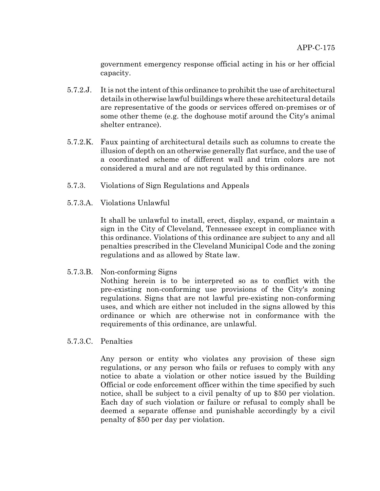government emergency response official acting in his or her official capacity.

- 5.7.2.J. It is not the intent of this ordinance to prohibit the use of architectural details in otherwise lawful buildings where these architectural details are representative of the goods or services offered on-premises or of some other theme (e.g. the doghouse motif around the City's animal shelter entrance).
- 5.7.2.K. Faux painting of architectural details such as columns to create the illusion of depth on an otherwise generally flat surface, and the use of a coordinated scheme of different wall and trim colors are not considered a mural and are not regulated by this ordinance.
- 5.7.3. Violations of Sign Regulations and Appeals
- 5.7.3.A. Violations Unlawful

It shall be unlawful to install, erect, display, expand, or maintain a sign in the City of Cleveland, Tennessee except in compliance with this ordinance. Violations of this ordinance are subject to any and all penalties prescribed in the Cleveland Municipal Code and the zoning regulations and as allowed by State law.

5.7.3.B. Non-conforming Signs

Nothing herein is to be interpreted so as to conflict with the pre-existing non-conforming use provisions of the City's zoning regulations. Signs that are not lawful pre-existing non-conforming uses, and which are either not included in the signs allowed by this ordinance or which are otherwise not in conformance with the requirements of this ordinance, are unlawful.

5.7.3.C. Penalties

Any person or entity who violates any provision of these sign regulations, or any person who fails or refuses to comply with any notice to abate a violation or other notice issued by the Building Official or code enforcement officer within the time specified by such notice, shall be subject to a civil penalty of up to \$50 per violation. Each day of such violation or failure or refusal to comply shall be deemed a separate offense and punishable accordingly by a civil penalty of \$50 per day per violation.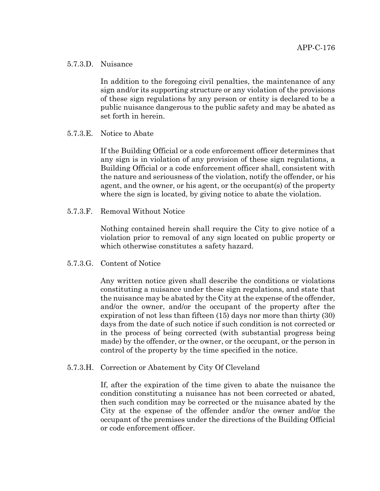#### 5.7.3.D. Nuisance

In addition to the foregoing civil penalties, the maintenance of any sign and/or its supporting structure or any violation of the provisions of these sign regulations by any person or entity is declared to be a public nuisance dangerous to the public safety and may be abated as set forth in herein.

## 5.7.3.E. Notice to Abate

If the Building Official or a code enforcement officer determines that any sign is in violation of any provision of these sign regulations, a Building Official or a code enforcement officer shall, consistent with the nature and seriousness of the violation, notify the offender, or his agent, and the owner, or his agent, or the occupant(s) of the property where the sign is located, by giving notice to abate the violation.

5.7.3.F. Removal Without Notice

Nothing contained herein shall require the City to give notice of a violation prior to removal of any sign located on public property or which otherwise constitutes a safety hazard.

#### 5.7.3.G. Content of Notice

Any written notice given shall describe the conditions or violations constituting a nuisance under these sign regulations, and state that the nuisance may be abated by the City at the expense of the offender, and/or the owner, and/or the occupant of the property after the expiration of not less than fifteen (15) days nor more than thirty (30) days from the date of such notice if such condition is not corrected or in the process of being corrected (with substantial progress being made) by the offender, or the owner, or the occupant, or the person in control of the property by the time specified in the notice.

#### 5.7.3.H. Correction or Abatement by City Of Cleveland

If, after the expiration of the time given to abate the nuisance the condition constituting a nuisance has not been corrected or abated, then such condition may be corrected or the nuisance abated by the City at the expense of the offender and/or the owner and/or the occupant of the premises under the directions of the Building Official or code enforcement officer.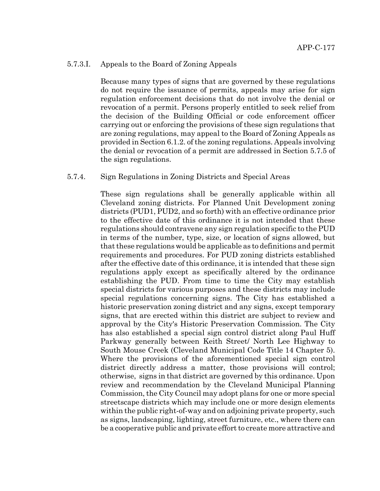#### 5.7.3.I. Appeals to the Board of Zoning Appeals

Because many types of signs that are governed by these regulations do not require the issuance of permits, appeals may arise for sign regulation enforcement decisions that do not involve the denial or revocation of a permit. Persons properly entitled to seek relief from the decision of the Building Official or code enforcement officer carrying out or enforcing the provisions of these sign regulations that are zoning regulations, may appeal to the Board of Zoning Appeals as provided in Section 6.1.2. of the zoning regulations. Appeals involving the denial or revocation of a permit are addressed in Section 5.7.5 of the sign regulations.

#### 5.7.4. Sign Regulations in Zoning Districts and Special Areas

These sign regulations shall be generally applicable within all Cleveland zoning districts. For Planned Unit Development zoning districts (PUD1, PUD2, and so forth) with an effective ordinance prior to the effective date of this ordinance it is not intended that these regulations should contravene any sign regulation specific to the PUD in terms of the number, type, size, or location of signs allowed, but that these regulations would be applicable as to definitions and permit requirements and procedures. For PUD zoning districts established after the effective date of this ordinance, it is intended that these sign regulations apply except as specifically altered by the ordinance establishing the PUD. From time to time the City may establish special districts for various purposes and these districts may include special regulations concerning signs. The City has established a historic preservation zoning district and any signs, except temporary signs, that are erected within this district are subject to review and approval by the City's Historic Preservation Commission. The City has also established a special sign control district along Paul Huff Parkway generally between Keith Street/ North Lee Highway to South Mouse Creek (Cleveland Municipal Code Title 14 Chapter 5). Where the provisions of the aforementioned special sign control district directly address a matter, those provisions will control; otherwise, signs in that district are governed by this ordinance. Upon review and recommendation by the Cleveland Municipal Planning Commission, the City Council may adopt plans for one or more special streetscape districts which may include one or more design elements within the public right-of-way and on adjoining private property, such as signs, landscaping, lighting, street furniture, etc., where there can be a cooperative public and private effort to create more attractive and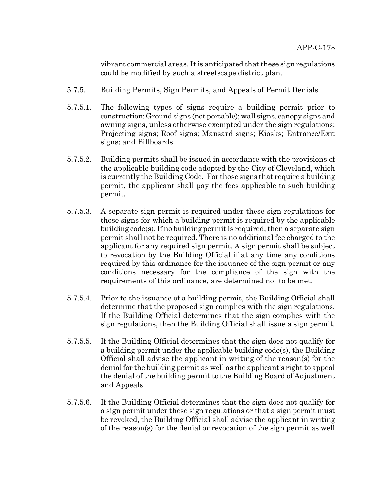vibrant commercial areas. It is anticipated that these sign regulations could be modified by such a streetscape district plan.

- 5.7.5. Building Permits, Sign Permits, and Appeals of Permit Denials
- 5.7.5.1. The following types of signs require a building permit prior to construction: Ground signs (not portable); wall signs, canopy signs and awning signs, unless otherwise exempted under the sign regulations; Projecting signs; Roof signs; Mansard signs; Kiosks; Entrance/Exit signs; and Billboards.
- 5.7.5.2. Building permits shall be issued in accordance with the provisions of the applicable building code adopted by the City of Cleveland, which is currently the Building Code. For those signs that require a building permit, the applicant shall pay the fees applicable to such building permit.
- 5.7.5.3. A separate sign permit is required under these sign regulations for those signs for which a building permit is required by the applicable building code(s). If no building permit is required, then a separate sign permit shall not be required. There is no additional fee charged to the applicant for any required sign permit. A sign permit shall be subject to revocation by the Building Official if at any time any conditions required by this ordinance for the issuance of the sign permit or any conditions necessary for the compliance of the sign with the requirements of this ordinance, are determined not to be met.
- 5.7.5.4. Prior to the issuance of a building permit, the Building Official shall determine that the proposed sign complies with the sign regulations. If the Building Official determines that the sign complies with the sign regulations, then the Building Official shall issue a sign permit.
- 5.7.5.5. If the Building Official determines that the sign does not qualify for a building permit under the applicable building code(s), the Building Official shall advise the applicant in writing of the reason(s) for the denial for the building permit as well as the applicant's right to appeal the denial of the building permit to the Building Board of Adjustment and Appeals.
- 5.7.5.6. If the Building Official determines that the sign does not qualify for a sign permit under these sign regulations or that a sign permit must be revoked, the Building Official shall advise the applicant in writing of the reason(s) for the denial or revocation of the sign permit as well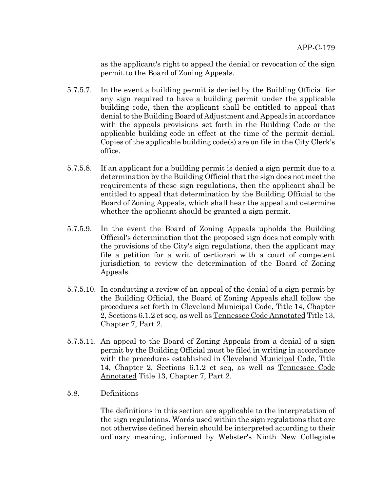as the applicant's right to appeal the denial or revocation of the sign permit to the Board of Zoning Appeals.

- 5.7.5.7. In the event a building permit is denied by the Building Official for any sign required to have a building permit under the applicable building code, then the applicant shall be entitled to appeal that denial to the Building Board of Adjustment and Appeals in accordance with the appeals provisions set forth in the Building Code or the applicable building code in effect at the time of the permit denial. Copies of the applicable building code(s) are on file in the City Clerk's office.
- 5.7.5.8. If an applicant for a building permit is denied a sign permit due to a determination by the Building Official that the sign does not meet the requirements of these sign regulations, then the applicant shall be entitled to appeal that determination by the Building Official to the Board of Zoning Appeals, which shall hear the appeal and determine whether the applicant should be granted a sign permit.
- 5.7.5.9. In the event the Board of Zoning Appeals upholds the Building Official's determination that the proposed sign does not comply with the provisions of the City's sign regulations, then the applicant may file a petition for a writ of certiorari with a court of competent jurisdiction to review the determination of the Board of Zoning Appeals.
- 5.7.5.10. In conducting a review of an appeal of the denial of a sign permit by the Building Official, the Board of Zoning Appeals shall follow the procedures set forth in Cleveland Municipal Code, Title 14, Chapter 2, Sections 6.1.2 et seq, as well as Tennessee Code Annotated Title 13, Chapter 7, Part 2.
- 5.7.5.11. An appeal to the Board of Zoning Appeals from a denial of a sign permit by the Building Official must be filed in writing in accordance with the procedures established in Cleveland Municipal Code, Title 14, Chapter 2, Sections 6.1.2 et seq, as well as Tennessee Code Annotated Title 13, Chapter 7, Part 2.
- 5.8. Definitions

The definitions in this section are applicable to the interpretation of the sign regulations. Words used within the sign regulations that are not otherwise defined herein should be interpreted according to their ordinary meaning, informed by Webster's Ninth New Collegiate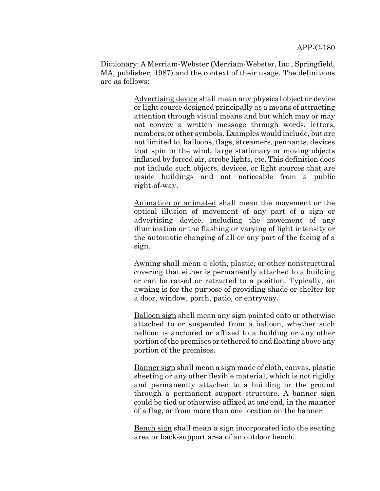Dictionary: A Merriam-Webster (Merriam-Webster, Inc., Springfield, MA, publisher, 1987) and the context of their usage. The definitions are as follows:

> Advertising device shall mean any physical object or device or light source designed principally as a means of attracting attention through visual means and but which may or may not convey a written message through words, letters, numbers, or other symbols. Examples would include, but are not limited to, balloons, flags, streamers, pennants, devices that spin in the wind, large stationary or moving objects inflated by forced air, strobe lights, etc. This definition does not include such objects, devices, or light sources that are inside buildings and not noticeable from a public right-of-way.

> Animation or animated shall mean the movement or the optical illusion of movement of any part of a sign or advertising device, including the movement of any illumination or the flashing or varying of light intensity or the automatic changing of all or any part of the facing of a sign.

> Awning shall mean a cloth, plastic, or other nonstructural covering that either is permanently attached to a building or can be raised or retracted to a position. Typically, an awning is for the purpose of providing shade or shelter for a door, window, porch, patio, or entryway.

> Balloon sign shall mean any sign painted onto or otherwise attached to or suspended from a balloon, whether such balloon is anchored or affixed to a building or any other portion of the premises or tethered to and floating above any portion of the premises.

> Banner sign shall mean a sign made of cloth, canvas, plastic sheeting or any other flexible material, which is not rigidly and permanently attached to a building or the ground through a permanent support structure. A banner sign could be tied or otherwise affixed at one end, in the manner of a flag, or from more than one location on the banner.

> Bench sign shall mean a sign incorporated into the seating area or back-support area of an outdoor bench.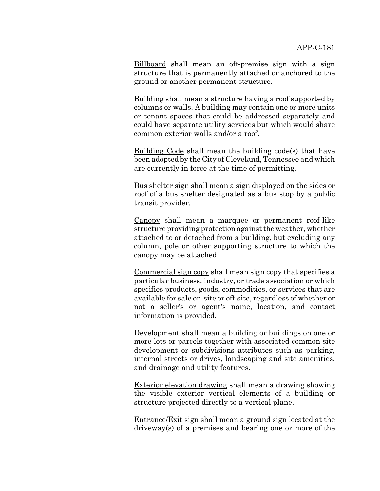Billboard shall mean an off-premise sign with a sign structure that is permanently attached or anchored to the ground or another permanent structure.

Building shall mean a structure having a roof supported by columns or walls. A building may contain one or more units or tenant spaces that could be addressed separately and could have separate utility services but which would share common exterior walls and/or a roof.

Building Code shall mean the building code(s) that have been adopted by the City of Cleveland, Tennessee and which are currently in force at the time of permitting.

Bus shelter sign shall mean a sign displayed on the sides or roof of a bus shelter designated as a bus stop by a public transit provider.

Canopy shall mean a marquee or permanent roof-like structure providing protection against the weather, whether attached to or detached from a building, but excluding any column, pole or other supporting structure to which the canopy may be attached.

Commercial sign copy shall mean sign copy that specifies a particular business, industry, or trade association or which specifies products, goods, commodities, or services that are available for sale on-site or off-site, regardless of whether or not a seller's or agent's name, location, and contact information is provided.

Development shall mean a building or buildings on one or more lots or parcels together with associated common site development or subdivisions attributes such as parking, internal streets or drives, landscaping and site amenities, and drainage and utility features.

Exterior elevation drawing shall mean a drawing showing the visible exterior vertical elements of a building or structure projected directly to a vertical plane.

Entrance/Exit sign shall mean a ground sign located at the driveway(s) of a premises and bearing one or more of the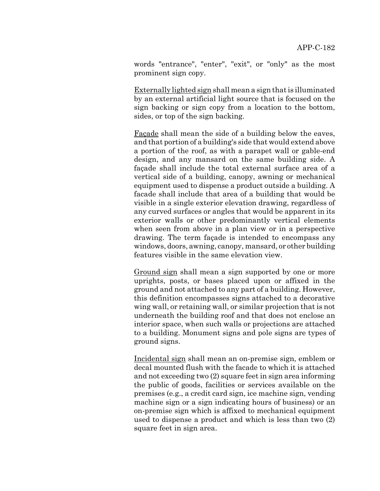words "entrance", "enter", "exit", or "only" as the most prominent sign copy.

Externally lighted sign shall mean a sign that is illuminated by an external artificial light source that is focused on the sign backing or sign copy from a location to the bottom, sides, or top of the sign backing.

Façade shall mean the side of a building below the eaves, and that portion of a building's side that would extend above a portion of the roof, as with a parapet wall or gable-end design, and any mansard on the same building side. A façade shall include the total external surface area of a vertical side of a building, canopy, awning or mechanical equipment used to dispense a product outside a building. A facade shall include that area of a building that would be visible in a single exterior elevation drawing, regardless of any curved surfaces or angles that would be apparent in its exterior walls or other predominantly vertical elements when seen from above in a plan view or in a perspective drawing. The term façade is intended to encompass any windows, doors, awning, canopy, mansard, or other building features visible in the same elevation view.

Ground sign shall mean a sign supported by one or more uprights, posts, or bases placed upon or affixed in the ground and not attached to any part of a building. However, this definition encompasses signs attached to a decorative wing wall, or retaining wall, or similar projection that is not underneath the building roof and that does not enclose an interior space, when such walls or projections are attached to a building. Monument signs and pole signs are types of ground signs.

Incidental sign shall mean an on-premise sign, emblem or decal mounted flush with the facade to which it is attached and not exceeding two (2) square feet in sign area informing the public of goods, facilities or services available on the premises (e.g., a credit card sign, ice machine sign, vending machine sign or a sign indicating hours of business) or an on-premise sign which is affixed to mechanical equipment used to dispense a product and which is less than two (2) square feet in sign area.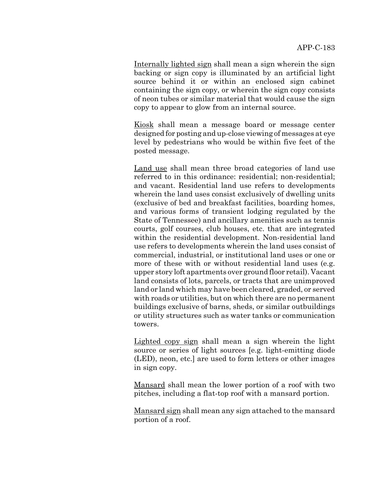Internally lighted sign shall mean a sign wherein the sign backing or sign copy is illuminated by an artificial light source behind it or within an enclosed sign cabinet containing the sign copy, or wherein the sign copy consists of neon tubes or similar material that would cause the sign copy to appear to glow from an internal source.

Kiosk shall mean a message board or message center designed for posting and up-close viewing of messages at eye level by pedestrians who would be within five feet of the posted message.

Land use shall mean three broad categories of land use referred to in this ordinance: residential; non-residential; and vacant. Residential land use refers to developments wherein the land uses consist exclusively of dwelling units (exclusive of bed and breakfast facilities, boarding homes, and various forms of transient lodging regulated by the State of Tennessee) and ancillary amenities such as tennis courts, golf courses, club houses, etc. that are integrated within the residential development. Non-residential land use refers to developments wherein the land uses consist of commercial, industrial, or institutional land uses or one or more of these with or without residential land uses (e.g. upper story loft apartments over ground floor retail). Vacant land consists of lots, parcels, or tracts that are unimproved land or land which may have been cleared, graded, or served with roads or utilities, but on which there are no permanent buildings exclusive of barns, sheds, or similar outbuildings or utility structures such as water tanks or communication towers.

Lighted copy sign shall mean a sign wherein the light source or series of light sources [e.g. light-emitting diode (LED), neon, etc.] are used to form letters or other images in sign copy.

Mansard shall mean the lower portion of a roof with two pitches, including a flat-top roof with a mansard portion.

Mansard sign shall mean any sign attached to the mansard portion of a roof.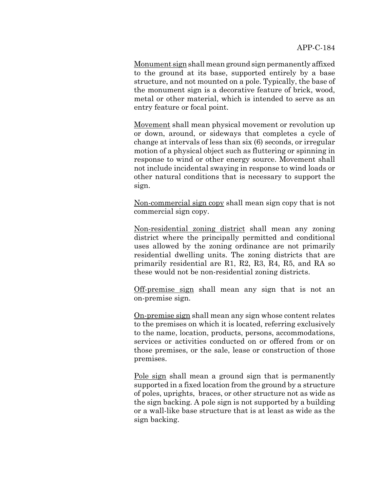Monument sign shall mean ground sign permanently affixed to the ground at its base, supported entirely by a base structure, and not mounted on a pole. Typically, the base of the monument sign is a decorative feature of brick, wood, metal or other material, which is intended to serve as an entry feature or focal point.

Movement shall mean physical movement or revolution up or down, around, or sideways that completes a cycle of change at intervals of less than six (6) seconds, or irregular motion of a physical object such as fluttering or spinning in response to wind or other energy source. Movement shall not include incidental swaying in response to wind loads or other natural conditions that is necessary to support the sign.

Non-commercial sign copy shall mean sign copy that is not commercial sign copy.

Non-residential zoning district shall mean any zoning district where the principally permitted and conditional uses allowed by the zoning ordinance are not primarily residential dwelling units. The zoning districts that are primarily residential are R1, R2, R3, R4, R5, and RA so these would not be non-residential zoning districts.

Off-premise sign shall mean any sign that is not an on-premise sign.

On-premise sign shall mean any sign whose content relates to the premises on which it is located, referring exclusively to the name, location, products, persons, accommodations, services or activities conducted on or offered from or on those premises, or the sale, lease or construction of those premises.

Pole sign shall mean a ground sign that is permanently supported in a fixed location from the ground by a structure of poles, uprights, braces, or other structure not as wide as the sign backing. A pole sign is not supported by a building or a wall-like base structure that is at least as wide as the sign backing.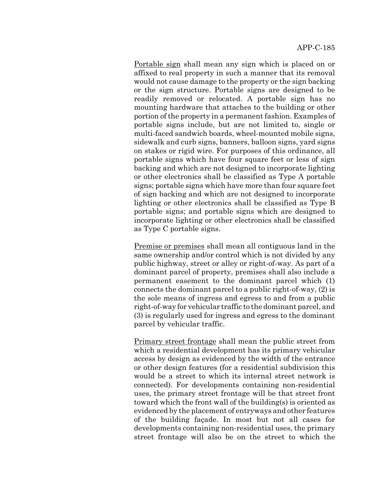Portable sign shall mean any sign which is placed on or affixed to real property in such a manner that its removal would not cause damage to the property or the sign backing or the sign structure. Portable signs are designed to be readily removed or relocated. A portable sign has no mounting hardware that attaches to the building or other portion of the property in a permanent fashion. Examples of portable signs include, but are not limited to, single or multi-faced sandwich boards, wheel-mounted mobile signs, sidewalk and curb signs, banners, balloon signs, yard signs on stakes or rigid wire. For purposes of this ordinance, all portable signs which have four square feet or less of sign backing and which are not designed to incorporate lighting or other electronics shall be classified as Type A portable signs; portable signs which have more than four square feet of sign backing and which are not designed to incorporate lighting or other electronics shall be classified as Type B portable signs; and portable signs which are designed to incorporate lighting or other electronics shall be classified as Type C portable signs.

Premise or premises shall mean all contiguous land in the same ownership and/or control which is not divided by any public highway, street or alley or right-of-way. As part of a dominant parcel of property, premises shall also include a permanent easement to the dominant parcel which (1) connects the dominant parcel to a public right-of-way, (2) is the sole means of ingress and egress to and from a public right-of-way for vehicular traffic to the dominant parcel, and (3) is regularly used for ingress and egress to the dominant parcel by vehicular traffic.

Primary street frontage shall mean the public street from which a residential development has its primary vehicular access by design as evidenced by the width of the entrance or other design features (for a residential subdivision this would be a street to which its internal street network is connected). For developments containing non-residential uses, the primary street frontage will be that street front toward which the front wall of the building(s) is oriented as evidenced by the placement of entryways and other features of the building façade. In most but not all cases for developments containing non-residential uses, the primary street frontage will also be on the street to which the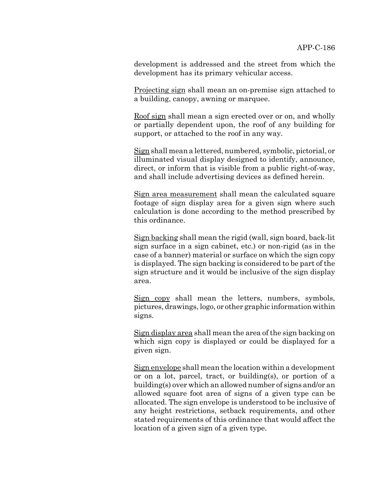development is addressed and the street from which the development has its primary vehicular access.

Projecting sign shall mean an on-premise sign attached to a building, canopy, awning or marquee.

Roof sign shall mean a sign erected over or on, and wholly or partially dependent upon, the roof of any building for support, or attached to the roof in any way.

Sign shall mean a lettered, numbered, symbolic, pictorial, or illuminated visual display designed to identify, announce, direct, or inform that is visible from a public right-of-way, and shall include advertising devices as defined herein.

Sign area measurement shall mean the calculated square footage of sign display area for a given sign where such calculation is done according to the method prescribed by this ordinance.

Sign backing shall mean the rigid (wall, sign board, back-lit sign surface in a sign cabinet, etc.) or non-rigid (as in the case of a banner) material or surface on which the sign copy is displayed. The sign backing is considered to be part of the sign structure and it would be inclusive of the sign display area.

Sign copy shall mean the letters, numbers, symbols, pictures, drawings, logo, or other graphic information within signs.

Sign display area shall mean the area of the sign backing on which sign copy is displayed or could be displayed for a given sign.

Sign envelope shall mean the location within a development or on a lot, parcel, tract, or building(s), or portion of a building(s) over which an allowed number of signs and/or an allowed square foot area of signs of a given type can be allocated. The sign envelope is understood to be inclusive of any height restrictions, setback requirements, and other stated requirements of this ordinance that would affect the location of a given sign of a given type.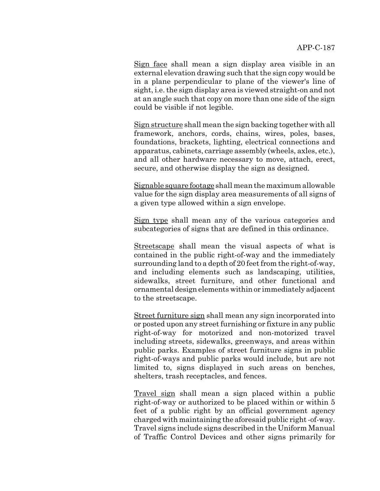Sign face shall mean a sign display area visible in an external elevation drawing such that the sign copy would be in a plane perpendicular to plane of the viewer's line of sight, i.e. the sign display area is viewed straight-on and not at an angle such that copy on more than one side of the sign could be visible if not legible.

Sign structure shall mean the sign backing together with all framework, anchors, cords, chains, wires, poles, bases, foundations, brackets, lighting, electrical connections and apparatus, cabinets, carriage assembly (wheels, axles, etc.), and all other hardware necessary to move, attach, erect, secure, and otherwise display the sign as designed.

Signable square footage shall mean the maximum allowable value for the sign display area measurements of all signs of a given type allowed within a sign envelope.

Sign type shall mean any of the various categories and subcategories of signs that are defined in this ordinance.

Streetscape shall mean the visual aspects of what is contained in the public right-of-way and the immediately surrounding land to a depth of 20 feet from the right-of-way, and including elements such as landscaping, utilities, sidewalks, street furniture, and other functional and ornamental design elements within or immediately adjacent to the streetscape.

Street furniture sign shall mean any sign incorporated into or posted upon any street furnishing or fixture in any public right-of-way for motorized and non-motorized travel including streets, sidewalks, greenways, and areas within public parks. Examples of street furniture signs in public right-of-ways and public parks would include, but are not limited to, signs displayed in such areas on benches, shelters, trash receptacles, and fences.

Travel sign shall mean a sign placed within a public right-of-way or authorized to be placed within or within 5 feet of a public right by an official government agency charged with maintaining the aforesaid public right -of-way. Travel signs include signs described in the Uniform Manual of Traffic Control Devices and other signs primarily for